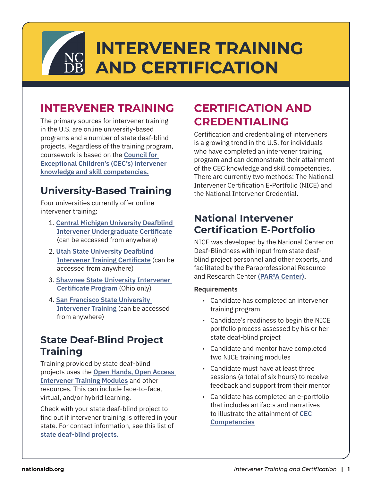# **INTERVENER TRAINING AND CERTIFICATION**

# **INTERVENER TRAINING**

The primary sources for intervener training in the U.S. are online university-based programs and a number of state deaf-blind projects. Regardless of the training program, coursework is based on the **[Council for](https://www.nationaldb.org/media/doc/CEC-Intervener-Standards.pdf)  [Exceptional Children's \(CEC's\) intervener](https://www.nationaldb.org/media/doc/CEC-Intervener-Standards.pdf)  knowledge and skill competencies.** 

### **University-Based Training**

Four universities currently offer online intervener training:

- 1. **[Central Michigan University Deafblind](https://lf.globalapp.cmich.edu/degreeConc/UCERT/DBI)  Intervener Undergraduate Certificate**  (can be accessed from anywhere)
- 2. **[Utah State University Deafblind](https://www.usu.edu/online/degrees/certificate/deafblind-intervener-training-certificate/?ref=online.usu.edu)  Intervener Training Certificate** (can be accessed from anywhere)
- 3. **[Shawnee State University Intervener](https://www.shawnee.edu/intervener-technical-certificate)  [Certificate Program](https://www.shawnee.edu/intervener-technical-certificate)** (Ohio only)
- 4. **[San Francisco State University](https://cel.sfsu.edu/intervener)  [Intervener Training](https://cel.sfsu.edu/intervener)** (can be accessed from anywhere)

### **State Deaf-Blind Project Training**

Training provided by state deaf-blind projects uses the **[Open Hands, Open Access](https://www.nationaldb.org/products/modules/ohoa/)  [Intervener Training Modules](https://www.nationaldb.org/products/modules/ohoa/)** and other resources. This can include face-to-face, virtual, and/or hybrid learning.

Check with your state deaf-blind project to find out if intervener training is offered in your state. For contact information, see this list of **[state deaf-blind projects](https://www.nationaldb.org/state-deaf-blind-projects/).** 

# **CERTIFICATION AND CREDENTIALING**

Certification and credentialing of interveners is a growing trend in the U.S. for individuals who have completed an intervener training program and can demonstrate their attainment of the CEC knowledge and skill competencies. There are currently two methods: The National Intervener Certification E-Portfolio (NICE) and the National Intervener Credential.

### **National Intervener [Certification E-Portfolio](https://www.nationaldb.org/national-initiatives/iqp/national-intervener-certification-eportfolio/)**

NICE was developed by the National Center on Deaf-Blindness with input from state deafblind project personnel and other experts, and facilitated by the Paraprofessional Resource and Research Center **[\(PAR²A Center\)](https://paracenter.org/).** 

#### **Requirements**

- Candidate has completed an intervener training program
- Candidate's readiness to begin the NICE portfolio process assessed by his or her state deaf-blind project
- Candidate and mentor have completed two NICE training modules
- Candidate must have at least three sessions (a total of six hours) to receive feedback and support from their mentor
- Candidate has completed an e-portfolio that includes artifacts and narratives to illustrate the attainment of **[CEC](https://www.nationaldb.org/media/doc/CEC-Intervener-Standards.pdf)  [Competencies](https://www.nationaldb.org/media/doc/CEC-Intervener-Standards.pdf)**